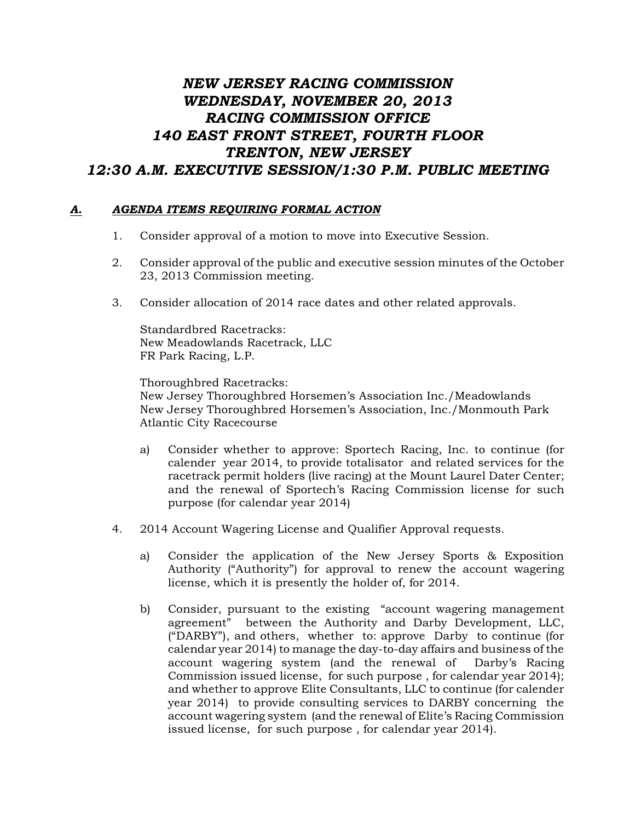## *NEW JERSEY RACING COMMISSION WEDNESDAY, NOVEMBER 20, 2013 RACING COMMISSION OFFICE 140 EAST FRONT STREET, FOURTH FLOOR TRENTON, NEW JERSEY 12:30 A.M. EXECUTIVE SESSION/1:30 P.M. PUBLIC MEETING*

## *A. AGENDA ITEMS REQUIRING FORMAL ACTION*

- 1. Consider approval of a motion to move into Executive Session.
- 2. Consider approval of the public and executive session minutes of the October 23, 2013 Commission meeting.
- 3. Consider allocation of 2014 race dates and other related approvals.

Standardbred Racetracks: New Meadowlands Racetrack, LLC FR Park Racing, L.P.

Thoroughbred Racetracks: New Jersey Thoroughbred Horsemen's Association Inc./Meadowlands New Jersey Thoroughbred Horsemen's Association, Inc./Monmouth Park Atlantic City Racecourse

- a) Consider whether to approve: Sportech Racing, Inc. to continue (for calender year 2014, to provide totalisator and related services for the racetrack permit holders (live racing) at the Mount Laurel Dater Center; and the renewal of Sportech's Racing Commission license for such purpose (for calendar year 2014)
- 4. 2014 Account Wagering License and Qualifier Approval requests.
	- a) Consider the application of the New Jersey Sports & Exposition Authority ("Authority") for approval to renew the account wagering license, which it is presently the holder of, for 2014.
	- b) Consider, pursuant to the existing "account wagering management agreement" between the Authority and Darby Development, LLC, ("DARBY"), and others, whether to: approve Darby to continue (for calendar year 2014) to manage the day-to-day affairs and business of the account wagering system (and the renewal of Darby's Racing Commission issued license, for such purpose , for calendar year 2014); and whether to approve Elite Consultants, LLC to continue (for calender year 2014) to provide consulting services to DARBY concerning the account wagering system (and the renewal of Elite's Racing Commission issued license, for such purpose , for calendar year 2014).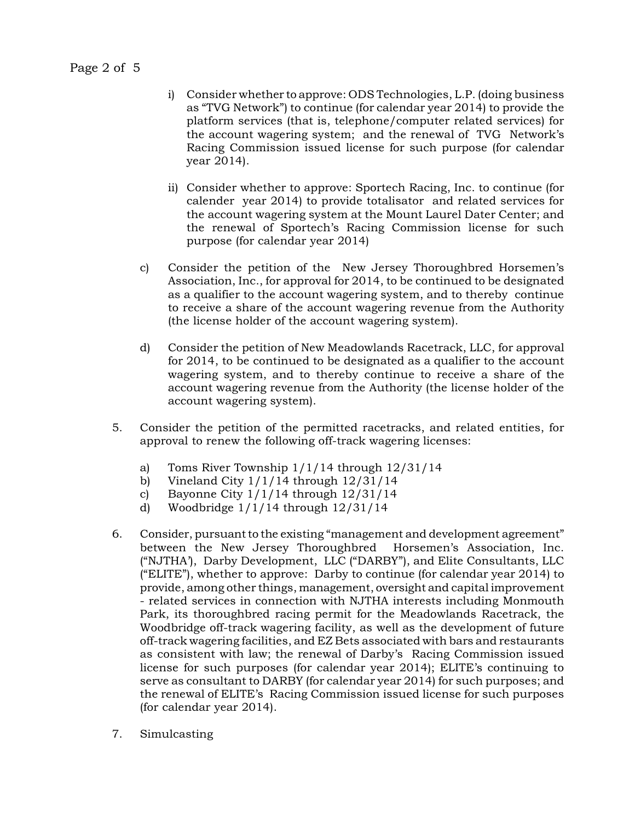Page 2 of 5

- i) Consider whether to approve: ODS Technologies, L.P. (doing business as "TVG Network") to continue (for calendar year 2014) to provide the platform services (that is, telephone/computer related services) for the account wagering system; and the renewal of TVG Network's Racing Commission issued license for such purpose (for calendar year 2014).
- ii) Consider whether to approve: Sportech Racing, Inc. to continue (for calender year 2014) to provide totalisator and related services for the account wagering system at the Mount Laurel Dater Center; and the renewal of Sportech's Racing Commission license for such purpose (for calendar year 2014)
- c) Consider the petition of the New Jersey Thoroughbred Horsemen's Association, Inc., for approval for 2014, to be continued to be designated as a qualifier to the account wagering system, and to thereby continue to receive a share of the account wagering revenue from the Authority (the license holder of the account wagering system).
- d) Consider the petition of New Meadowlands Racetrack, LLC, for approval for 2014, to be continued to be designated as a qualifier to the account wagering system, and to thereby continue to receive a share of the account wagering revenue from the Authority (the license holder of the account wagering system).
- 5. Consider the petition of the permitted racetracks, and related entities, for approval to renew the following off-track wagering licenses:
	- a) Toms River Township 1/1/14 through 12/31/14
	- b) Vineland City 1/1/14 through 12/31/14
	- c) Bayonne City 1/1/14 through 12/31/14
	- d) Woodbridge 1/1/14 through 12/31/14
- 6. Consider, pursuant to the existing "management and development agreement" between the New Jersey Thoroughbred Horsemen's Association, Inc. ("NJTHA'), Darby Development, LLC ("DARBY"), and Elite Consultants, LLC ("ELITE"), whether to approve: Darby to continue (for calendar year 2014) to provide, among other things, management, oversight and capital improvement - related services in connection with NJTHA interests including Monmouth Park, its thoroughbred racing permit for the Meadowlands Racetrack, the Woodbridge off-track wagering facility, as well as the development of future off-track wagering facilities, and EZ Bets associated with bars and restaurants as consistent with law; the renewal of Darby's Racing Commission issued license for such purposes (for calendar year 2014); ELITE's continuing to serve as consultant to DARBY (for calendar year 2014) for such purposes; and the renewal of ELITE's Racing Commission issued license for such purposes (for calendar year 2014).
- 7. Simulcasting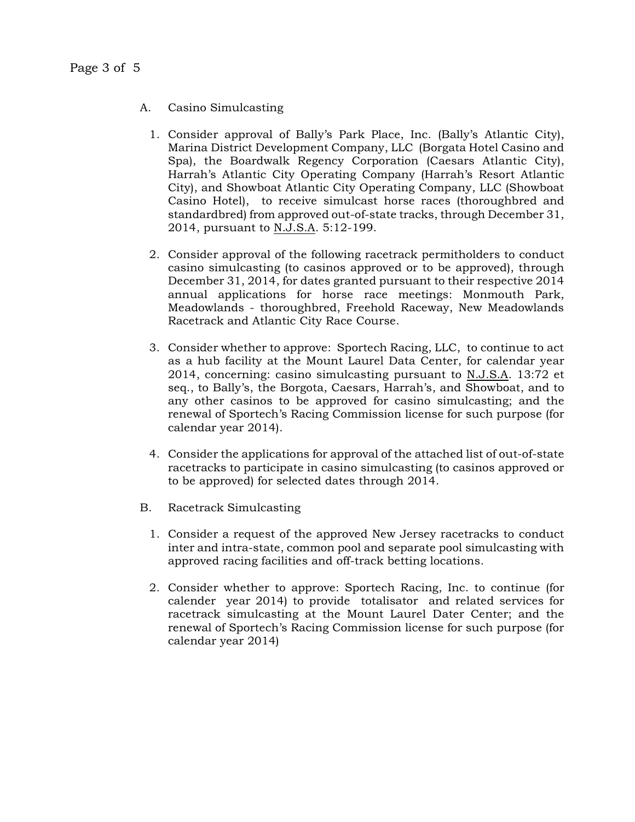- A. Casino Simulcasting
	- 1. Consider approval of Bally's Park Place, Inc. (Bally's Atlantic City), Marina District Development Company, LLC (Borgata Hotel Casino and Spa), the Boardwalk Regency Corporation (Caesars Atlantic City), Harrah's Atlantic City Operating Company (Harrah's Resort Atlantic City), and Showboat Atlantic City Operating Company, LLC (Showboat Casino Hotel), to receive simulcast horse races (thoroughbred and standardbred) from approved out-of-state tracks, through December 31, 2014, pursuant to N.J.S.A. 5:12-199.
	- 2. Consider approval of the following racetrack permitholders to conduct casino simulcasting (to casinos approved or to be approved), through December 31, 2014, for dates granted pursuant to their respective 2014 annual applications for horse race meetings: Monmouth Park, Meadowlands - thoroughbred, Freehold Raceway, New Meadowlands Racetrack and Atlantic City Race Course.
	- 3. Consider whether to approve: Sportech Racing, LLC, to continue to act as a hub facility at the Mount Laurel Data Center, for calendar year 2014, concerning: casino simulcasting pursuant to N.J.S.A. 13:72 et seq., to Bally's, the Borgota, Caesars, Harrah's, and Showboat, and to any other casinos to be approved for casino simulcasting; and the renewal of Sportech's Racing Commission license for such purpose (for calendar year 2014).
	- 4. Consider the applications for approval of the attached list of out-of-state racetracks to participate in casino simulcasting (to casinos approved or to be approved) for selected dates through 2014.
- B. Racetrack Simulcasting
	- 1. Consider a request of the approved New Jersey racetracks to conduct inter and intra-state, common pool and separate pool simulcasting with approved racing facilities and off-track betting locations.
	- 2. Consider whether to approve: Sportech Racing, Inc. to continue (for calender year 2014) to provide totalisator and related services for racetrack simulcasting at the Mount Laurel Dater Center; and the renewal of Sportech's Racing Commission license for such purpose (for calendar year 2014)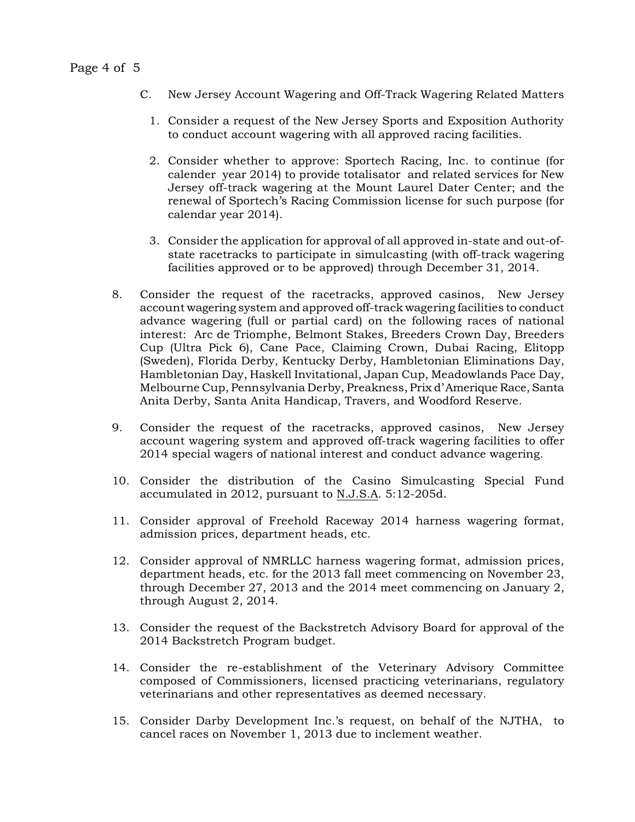- C. New Jersey Account Wagering and Off-Track Wagering Related Matters
	- 1. Consider a request of the New Jersey Sports and Exposition Authority to conduct account wagering with all approved racing facilities.
	- 2. Consider whether to approve: Sportech Racing, Inc. to continue (for calender year 2014) to provide totalisator and related services for New Jersey off-track wagering at the Mount Laurel Dater Center; and the renewal of Sportech's Racing Commission license for such purpose (for calendar year 2014).
	- 3. Consider the application for approval of all approved in-state and out-ofstate racetracks to participate in simulcasting (with off-track wagering facilities approved or to be approved) through December 31, 2014.
- 8. Consider the request of the racetracks, approved casinos, New Jersey account wagering system and approved off-track wagering facilities to conduct advance wagering (full or partial card) on the following races of national interest: Arc de Triomphe, Belmont Stakes, Breeders Crown Day, Breeders Cup (Ultra Pick 6), Cane Pace, Claiming Crown, Dubai Racing, Elitopp (Sweden), Florida Derby, Kentucky Derby, Hambletonian Eliminations Day, Hambletonian Day, Haskell Invitational, Japan Cup, Meadowlands Pace Day, Melbourne Cup, Pennsylvania Derby, Preakness, Prix d'Amerique Race, Santa Anita Derby, Santa Anita Handicap, Travers, and Woodford Reserve.
- 9. Consider the request of the racetracks, approved casinos, New Jersey account wagering system and approved off-track wagering facilities to offer 2014 special wagers of national interest and conduct advance wagering.
- 10. Consider the distribution of the Casino Simulcasting Special Fund accumulated in 2012, pursuant to N.J.S.A. 5:12-205d.
- 11. Consider approval of Freehold Raceway 2014 harness wagering format, admission prices, department heads, etc.
- 12. Consider approval of NMRLLC harness wagering format, admission prices, department heads, etc. for the 2013 fall meet commencing on November 23, through December 27, 2013 and the 2014 meet commencing on January 2, through August 2, 2014.
- 13. Consider the request of the Backstretch Advisory Board for approval of the 2014 Backstretch Program budget.
- 14. Consider the re-establishment of the Veterinary Advisory Committee composed of Commissioners, licensed practicing veterinarians, regulatory veterinarians and other representatives as deemed necessary.
- 15. Consider Darby Development Inc.'s request, on behalf of the NJTHA, to cancel races on November 1, 2013 due to inclement weather.